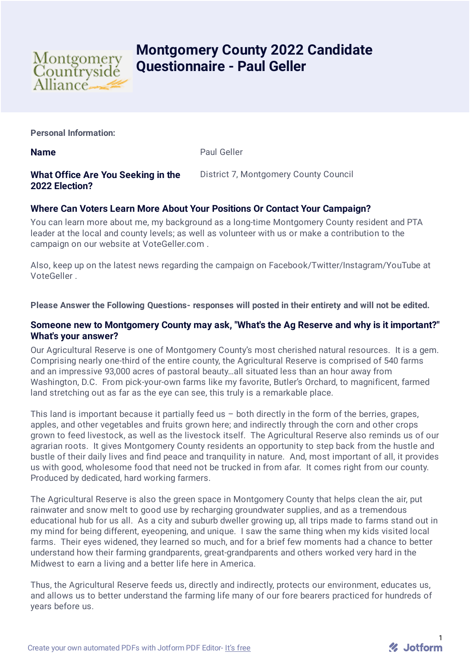

# **Montgomery County 2022 Candidate Questionnaire - Paul Geller**

**Personal Information:**

**Name** Paul Geller

# **What Office Are You Seeking in the 2022 Election?**

District 7, Montgomery County Council

# **Where Can Voters Learn More About Your Positions Or Contact Your Campaign?**

You can learn more about me, my background as a long-time Montgomery County resident and PTA leader at the local and county levels; as well as volunteer with us or make a contribution to the campaign on our website at VoteGeller.com .

Also, keep up on the latest news regarding the campaign on Facebook/Twitter/Instagram/YouTube at VoteGeller .

## **Please Answer the Following Questions- responses will posted in their entirety and will not be edited.**

#### **Someone new to Montgomery County may ask, "What's the Ag Reserve and why is it important?" What's your answer?**

Our Agricultural Reserve is one of Montgomery County's most cherished natural resources. It is a gem. Comprising nearly one-third of the entire county, the Agricultural Reserve is comprised of 540 farms and an impressive 93,000 acres of pastoral beauty…all situated less than an hour away from Washington, D.C. From pick-your-own farms like my favorite, Butler's Orchard, to magnificent, farmed land stretching out as far as the eye can see, this truly is a remarkable place.

This land is important because it partially feed us  $-$  both directly in the form of the berries, grapes, apples, and other vegetables and fruits grown here; and indirectly through the corn and other crops grown to feed livestock, as well as the livestock itself. The Agricultural Reserve also reminds us of our agrarian roots. It gives Montgomery County residents an opportunity to step back from the hustle and bustle of their daily lives and find peace and tranquility in nature. And, most important of all, it provides us with good, wholesome food that need not be trucked in from afar. It comes right from our county. Produced by dedicated, hard working farmers.

The Agricultural Reserve is also the green space in Montgomery County that helps clean the air, put rainwater and snow melt to good use by recharging groundwater supplies, and as a tremendous educational hub for us all. As a city and suburb dweller growing up, all trips made to farms stand out in my mind for being different, eyeopening, and unique. I saw the same thing when my kids visited local farms. Their eyes widened, they learned so much, and for a brief few moments had a chance to better understand how their farming grandparents, great-grandparents and others worked very hard in the Midwest to earn a living and a better life here in America.

Thus, the Agricultural Reserve feeds us, directly and indirectly, protects our environment, educates us, and allows us to better understand the farming life many of our fore bearers practiced for hundreds of years before us.

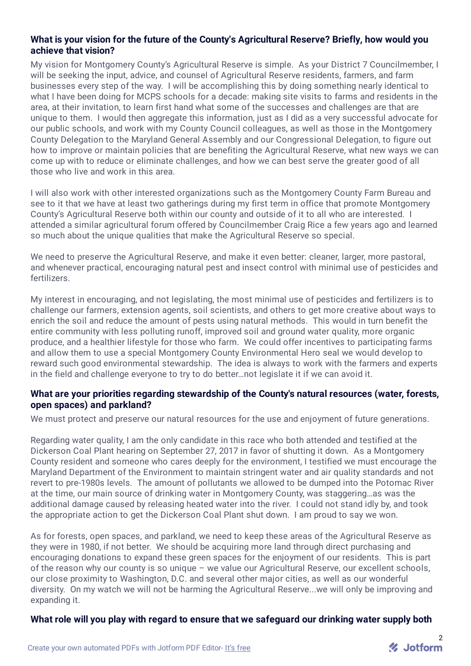# **What is your vision for the future of the County's Agricultural Reserve? Briefly, how would you achieve that vision?**

My vision for Montgomery County's Agricultural Reserve is simple. As your District 7 Councilmember, I will be seeking the input, advice, and counsel of Agricultural Reserve residents, farmers, and farm businesses every step of the way. I will be accomplishing this by doing something nearly identical to what I have been doing for MCPS schools for a decade: making site visits to farms and residents in the area, at their invitation, to learn first hand what some of the successes and challenges are that are unique to them. I would then aggregate this information, just as I did as a very successful advocate for our public schools, and work with my County Council colleagues, as well as those in the Montgomery County Delegation to the Maryland General Assembly and our Congressional Delegation, to figure out how to improve or maintain policies that are benefiting the Agricultural Reserve, what new ways we can come up with to reduce or eliminate challenges, and how we can best serve the greater good of all those who live and work in this area.

I will also work with other interested organizations such as the Montgomery County Farm Bureau and see to it that we have at least two gatherings during my first term in office that promote Montgomery County's Agricultural Reserve both within our county and outside of it to all who are interested. I attended a similar agricultural forum offered by Councilmember Craig Rice a few years ago and learned so much about the unique qualities that make the Agricultural Reserve so special.

We need to preserve the Agricultural Reserve, and make it even better: cleaner, larger, more pastoral, and whenever practical, encouraging natural pest and insect control with minimal use of pesticides and fertilizers.

My interest in encouraging, and not legislating, the most minimal use of pesticides and fertilizers is to challenge our farmers, extension agents, soil scientists, and others to get more creative about ways to enrich the soil and reduce the amount of pests using natural methods. This would in turn benefit the entire community with less polluting runoff, improved soil and ground water quality, more organic produce, and a healthier lifestyle for those who farm. We could offer incentives to participating farms and allow them to use a special Montgomery County Environmental Hero seal we would develop to reward such good environmental stewardship. The idea is always to work with the farmers and experts in the field and challenge everyone to try to do better…not legislate it if we can avoid it.

## **What are your priorities regarding stewardship of the County's natural resources (water, forests, open spaces) and parkland?**

We must protect and preserve our natural resources for the use and enjoyment of future generations.

Regarding water quality, I am the only candidate in this race who both attended and testified at the Dickerson Coal Plant hearing on September 27, 2017 in favor of shutting it down. As a Montgomery County resident and someone who cares deeply for the environment, I testified we must encourage the Maryland Department of the Environment to maintain stringent water and air quality standards and not revert to pre-1980s levels. The amount of pollutants we allowed to be dumped into the Potomac River at the time, our main source of drinking water in Montgomery County, was staggering…as was the additional damage caused by releasing heated water into the river. I could not stand idly by, and took the appropriate action to get the Dickerson Coal Plant shut down. I am proud to say we won.

As for forests, open spaces, and parkland, we need to keep these areas of the Agricultural Reserve as they were in 1980, if not better. We should be acquiring more land through direct purchasing and encouraging donations to expand these green spaces for the enjoyment of our residents. This is part of the reason why our county is so unique – we value our Agricultural Reserve, our excellent schools, our close proximity to Washington, D.C. and several other major cities, as well as our wonderful diversity. On my watch we will not be harming the Agricultural Reserve...we will only be improving and expanding it.

## **What role will you play with regard to ensure that we safeguard our drinking water supply both**

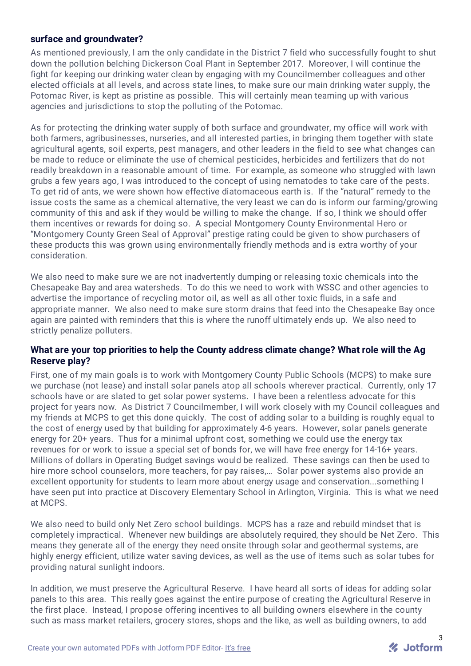## **surface and groundwater?**

As mentioned previously, I am the only candidate in the District 7 field who successfully fought to shut down the pollution belching Dickerson Coal Plant in September 2017. Moreover, I will continue the fight for keeping our drinking water clean by engaging with my Councilmember colleagues and other elected officials at all levels, and across state lines, to make sure our main drinking water supply, the Potomac River, is kept as pristine as possible. This will certainly mean teaming up with various agencies and jurisdictions to stop the polluting of the Potomac.

As for protecting the drinking water supply of both surface and groundwater, my office will work with both farmers, agribusinesses, nurseries, and all interested parties, in bringing them together with state agricultural agents, soil experts, pest managers, and other leaders in the field to see what changes can be made to reduce or eliminate the use of chemical pesticides, herbicides and fertilizers that do not readily breakdown in a reasonable amount of time. For example, as someone who struggled with lawn grubs a few years ago, I was introduced to the concept of using nematodes to take care of the pests. To get rid of ants, we were shown how effective diatomaceous earth is. If the "natural" remedy to the issue costs the same as a chemical alternative, the very least we can do is inform our farming/growing community of this and ask if they would be willing to make the change. If so, I think we should offer them incentives or rewards for doing so. A special Montgomery County Environmental Hero or "Montgomery County Green Seal of Approval" prestige rating could be given to show purchasers of these products this was grown using environmentally friendly methods and is extra worthy of your consideration.

We also need to make sure we are not inadvertently dumping or releasing toxic chemicals into the Chesapeake Bay and area watersheds. To do this we need to work with WSSC and other agencies to advertise the importance of recycling motor oil, as well as all other toxic fluids, in a safe and appropriate manner. We also need to make sure storm drains that feed into the Chesapeake Bay once again are painted with reminders that this is where the runoff ultimately ends up. We also need to strictly penalize polluters.

#### **What are your top priorities to help the County address climate change? What role will the Ag Reserve play?**

First, one of my main goals is to work with Montgomery County Public Schools (MCPS) to make sure we purchase (not lease) and install solar panels atop all schools wherever practical. Currently, only 17 schools have or are slated to get solar power systems. I have been a relentless advocate for this project for years now. As District 7 Councilmember, I will work closely with my Council colleagues and my friends at MCPS to get this done quickly. The cost of adding solar to a building is roughly equal to the cost of energy used by that building for approximately 4-6 years. However, solar panels generate energy for 20+ years. Thus for a minimal upfront cost, something we could use the energy tax revenues for or work to issue a special set of bonds for, we will have free energy for 14-16+ years. Millions of dollars in Operating Budget savings would be realized. These savings can then be used to hire more school counselors, more teachers, for pay raises,… Solar power systems also provide an excellent opportunity for students to learn more about energy usage and conservation...something I have seen put into practice at Discovery Elementary School in Arlington, Virginia. This is what we need at MCPS.

We also need to build only Net Zero school buildings. MCPS has a raze and rebuild mindset that is completely impractical. Whenever new buildings are absolutely required, they should be Net Zero. This means they generate all of the energy they need onsite through solar and geothermal systems, are highly energy efficient, utilize water saving devices, as well as the use of items such as solar tubes for providing natural sunlight indoors.

In addition, we must preserve the Agricultural Reserve. I have heard all sorts of ideas for adding solar panels to this area. This really goes against the entire purpose of creating the Agricultural Reserve in the first place. Instead, I propose offering incentives to all building owners elsewhere in the county such as mass market retailers, grocery stores, shops and the like, as well as building owners, to add

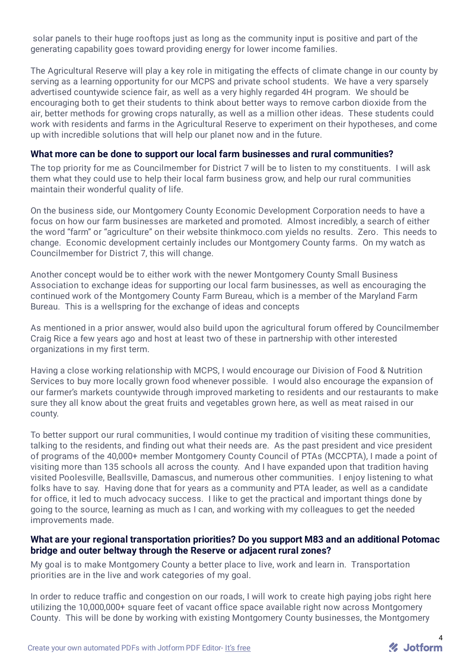solar panels to their huge rooftops just as long as the community input is positive and part of the generating capability goes toward providing energy for lower income families.

The Agricultural Reserve will play a key role in mitigating the effects of climate change in our county by serving as a learning opportunity for our MCPS and private school students. We have a very sparsely advertised countywide science fair, as well as a very highly regarded 4H program. We should be encouraging both to get their students to think about better ways to remove carbon dioxide from the air, better methods for growing crops naturally, as well as a million other ideas. These students could work with residents and farms in the Agricultural Reserve to experiment on their hypotheses, and come up with incredible solutions that will help our planet now and in the future.

#### **What more can be done to support our local farm businesses and rural communities?**

The top priority for me as Councilmember for District 7 will be to listen to my constituents. I will ask them what they could use to help their local farm business grow, and help our rural communities maintain their wonderful quality of life.

On the business side, our Montgomery County Economic Development Corporation needs to have a focus on how our farm businesses are marketed and promoted. Almost incredibly, a search of either the word "farm" or "agriculture" on their website thinkmoco.com yields no results. Zero. This needs to change. Economic development certainly includes our Montgomery County farms. On my watch as Councilmember for District 7, this will change.

Another concept would be to either work with the newer Montgomery County Small Business Association to exchange ideas for supporting our local farm businesses, as well as encouraging the continued work of the Montgomery County Farm Bureau, which is a member of the Maryland Farm Bureau. This is a wellspring for the exchange of ideas and concepts

As mentioned in a prior answer, would also build upon the agricultural forum offered by Councilmember Craig Rice a few years ago and host at least two of these in partnership with other interested organizations in my first term.

Having a close working relationship with MCPS, I would encourage our Division of Food & Nutrition Services to buy more locally grown food whenever possible. I would also encourage the expansion of our farmer's markets countywide through improved marketing to residents and our restaurants to make sure they all know about the great fruits and vegetables grown here, as well as meat raised in our county.

To better support our rural communities, I would continue my tradition of visiting these communities, talking to the residents, and finding out what their needs are. As the past president and vice president of programs of the 40,000+ member Montgomery County Council of PTAs (MCCPTA), I made a point of visiting more than 135 schools all across the county. And I have expanded upon that tradition having visited Poolesville, Beallsville, Damascus, and numerous other communities. I enjoy listening to what folks have to say. Having done that for years as a community and PTA leader, as well as a candidate for office, it led to much advocacy success. I like to get the practical and important things done by going to the source, learning as much as I can, and working with my colleagues to get the needed improvements made.

## **What are your regional transportation priorities? Do you support M83 and an additional Potomac bridge and outer beltway through the Reserve or adjacent rural zones?**

My goal is to make Montgomery County a better place to live, work and learn in. Transportation priorities are in the live and work categories of my goal.

In order to reduce traffic and congestion on our roads, I will work to create high paying jobs right here utilizing the 10,000,000+ square feet of vacant office space available right now across Montgomery County. This will be done by working with existing Montgomery County businesses, the Montgomery

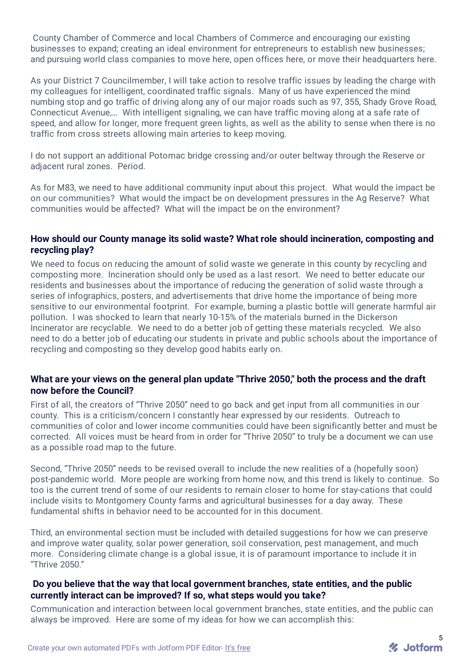County Chamber of Commerce and local Chambers of Commerce and encouraging our existing businesses to expand; creating an ideal environment for entrepreneurs to establish new businesses; and pursuing world class companies to move here, open offices here, or move their headquarters here.

As your District 7 Councilmember, I will take action to resolve traffic issues by leading the charge with my colleagues for intelligent, coordinated traffic signals. Many of us have experienced the mind numbing stop and go traffic of driving along any of our major roads such as 97, 355, Shady Grove Road, Connecticut Avenue,… With intelligent signaling, we can have traffic moving along at a safe rate of speed, and allow for longer, more frequent green lights, as well as the ability to sense when there is no traffic from cross streets allowing main arteries to keep moving.

I do not support an additional Potomac bridge crossing and/or outer beltway through the Reserve or adjacent rural zones. Period.

As for M83, we need to have additional community input about this project. What would the impact be on our communities? What would the impact be on development pressures in the Ag Reserve? What communities would be affected? What will the impact be on the environment?

#### **How should our County manage its solid waste? What role should incineration, composting and recycling play?**

We need to focus on reducing the amount of solid waste we generate in this county by recycling and composting more. Incineration should only be used as a last resort. We need to better educate our residents and businesses about the importance of reducing the generation of solid waste through a series of infographics, posters, and advertisements that drive home the importance of being more sensitive to our environmental footprint. For example, burning a plastic bottle will generate harmful air pollution. I was shocked to learn that nearly 10-15% of the materials burned in the Dickerson Incinerator are recyclable. We need to do a better job of getting these materials recycled. We also need to do a better job of educating our students in private and public schools about the importance of recycling and composting so they develop good habits early on.

## **What are your views on the general plan update "Thrive 2050," both the process and the draft now before the Council?**

First of all, the creators of "Thrive 2050" need to go back and get input from all communities in our county. This is a criticism/concern I constantly hear expressed by our residents. Outreach to communities of color and lower income communities could have been significantly better and must be corrected. All voices must be heard from in order for "Thrive 2050" to truly be a document we can use as a possible road map to the future.

Second, "Thrive 2050" needs to be revised overall to include the new realities of a (hopefully soon) post-pandemic world. More people are working from home now, and this trend is likely to continue. So too is the current trend of some of our residents to remain closer to home for stay-cations that could include visits to Montgomery County farms and agricultural businesses for a day away. These fundamental shifts in behavior need to be accounted for in this document.

Third, an environmental section must be included with detailed suggestions for how we can preserve and improve water quality, solar power generation, soil conservation, pest management, and much more. Considering climate change is a global issue, it is of paramount importance to include it in "Thrive 2050."

#### **Do you believe that the way that local government branches, state entities, and the public currently interact can be improved? If so, what steps would you take?**

Communication and interaction between local government branches, state entities, and the public can always be improved. Here are some of my ideas for how we can accomplish this: